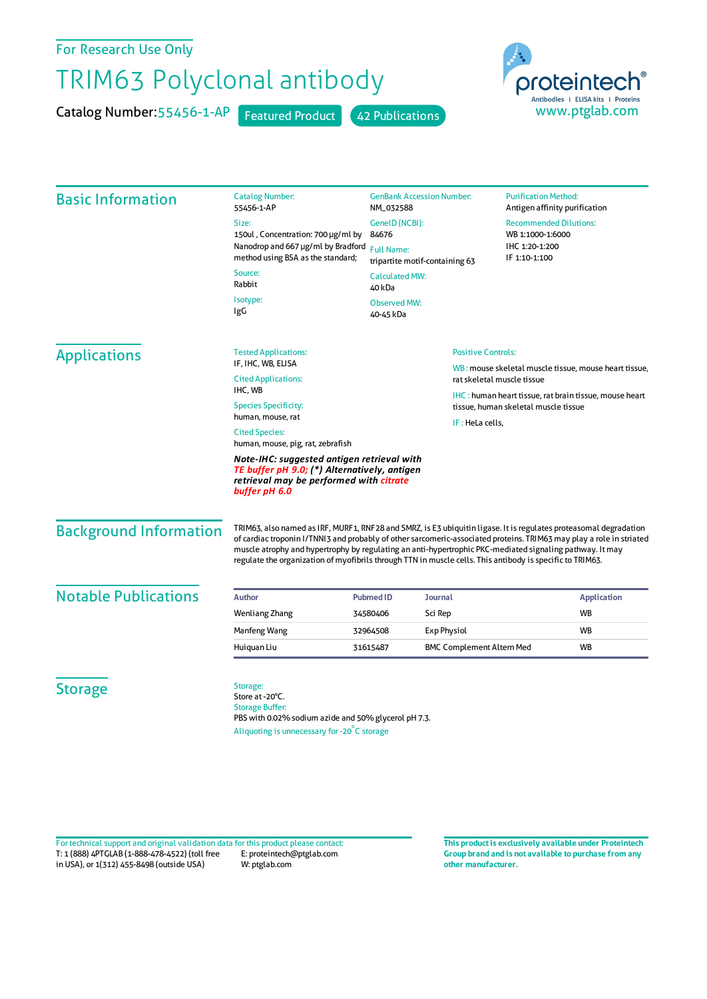## For Research Use Only

## TRIM63 Polyclonal antibody

Catalog Number: 55456-1-AP Featured Product 42 Publications



| <b>Basic Information</b>      | <b>Catalog Number:</b><br>55456-1-AP                                                                                                                                                                                                                                                                                                                                                                                                                               | <b>GenBank Accession Number:</b><br>NM_032588<br>GenelD (NCBI):<br>84676<br><b>Full Name:</b><br>tripartite motif-containing 63<br><b>Calculated MW:</b><br>40 kDa |                                                                                                                                                                                               | <b>Purification Method:</b><br>Antigen affinity purification<br><b>Recommended Dilutions:</b><br>WB 1:1000-1:6000<br>IHC 1:20-1:200<br>IF 1:10-1:100 |                    |
|-------------------------------|--------------------------------------------------------------------------------------------------------------------------------------------------------------------------------------------------------------------------------------------------------------------------------------------------------------------------------------------------------------------------------------------------------------------------------------------------------------------|--------------------------------------------------------------------------------------------------------------------------------------------------------------------|-----------------------------------------------------------------------------------------------------------------------------------------------------------------------------------------------|------------------------------------------------------------------------------------------------------------------------------------------------------|--------------------|
|                               | Size:                                                                                                                                                                                                                                                                                                                                                                                                                                                              |                                                                                                                                                                    |                                                                                                                                                                                               |                                                                                                                                                      |                    |
|                               | 150ul, Concentration: 700 µg/ml by<br>Nanodrop and 667 µg/ml by Bradford<br>method using BSA as the standard;                                                                                                                                                                                                                                                                                                                                                      |                                                                                                                                                                    |                                                                                                                                                                                               |                                                                                                                                                      |                    |
|                               |                                                                                                                                                                                                                                                                                                                                                                                                                                                                    |                                                                                                                                                                    |                                                                                                                                                                                               |                                                                                                                                                      |                    |
|                               | Isotype:<br>IgG                                                                                                                                                                                                                                                                                                                                                                                                                                                    |                                                                                                                                                                    |                                                                                                                                                                                               |                                                                                                                                                      |                    |
|                               |                                                                                                                                                                                                                                                                                                                                                                                                                                                                    | <b>Tested Applications:</b>                                                                                                                                        |                                                                                                                                                                                               | <b>Positive Controls:</b>                                                                                                                            |                    |
| <b>Applications</b>           | IF. IHC. WB. ELISA<br><b>Cited Applications:</b>                                                                                                                                                                                                                                                                                                                                                                                                                   |                                                                                                                                                                    | WB: mouse skeletal muscle tissue, mouse heart tissue,<br>rat skeletal muscle tissue<br><b>IHC</b> : human heart tissue, rat brain tissue, mouse heart<br>tissue, human skeletal muscle tissue |                                                                                                                                                      |                    |
|                               |                                                                                                                                                                                                                                                                                                                                                                                                                                                                    |                                                                                                                                                                    |                                                                                                                                                                                               |                                                                                                                                                      |                    |
|                               | IHC, WB<br><b>Species Specificity:</b>                                                                                                                                                                                                                                                                                                                                                                                                                             |                                                                                                                                                                    |                                                                                                                                                                                               |                                                                                                                                                      |                    |
|                               | human, mouse, rat                                                                                                                                                                                                                                                                                                                                                                                                                                                  |                                                                                                                                                                    |                                                                                                                                                                                               |                                                                                                                                                      |                    |
|                               | IF: HeLa cells,<br><b>Cited Species:</b><br>human, mouse, pig, rat, zebrafish                                                                                                                                                                                                                                                                                                                                                                                      |                                                                                                                                                                    |                                                                                                                                                                                               |                                                                                                                                                      |                    |
|                               | Note-IHC: suggested antigen retrieval with<br>TE buffer pH 9.0; (*) Alternatively, antigen<br>retrieval may be performed with citrate<br>buffer pH 6.0                                                                                                                                                                                                                                                                                                             |                                                                                                                                                                    |                                                                                                                                                                                               |                                                                                                                                                      |                    |
| <b>Background Information</b> | TRIM63, also named as IRF, MURF1, RNF28 and SMRZ, is E3 ubiquitin ligase. It is regulates proteasomal degradation<br>of cardiac troponin I/TNNI3 and probably of other sarcomeric-associated proteins. TRIM63 may play a role in striated<br>muscle atrophy and hypertrophy by regulating an anti-hypertrophic PKC-mediated signaling pathway. It may<br>regulate the organization of myofibrils through TTN in muscle cells. This antibody is specific to TRIM63. |                                                                                                                                                                    |                                                                                                                                                                                               |                                                                                                                                                      |                    |
| <b>Notable Publications</b>   | <b>Author</b>                                                                                                                                                                                                                                                                                                                                                                                                                                                      | <b>Pubmed ID</b><br>Journal                                                                                                                                        |                                                                                                                                                                                               |                                                                                                                                                      | <b>Application</b> |
|                               | <b>Wenliang Zhang</b>                                                                                                                                                                                                                                                                                                                                                                                                                                              | 34580406<br>Sci Rep                                                                                                                                                |                                                                                                                                                                                               |                                                                                                                                                      | <b>WB</b>          |
|                               | Manfeng Wang                                                                                                                                                                                                                                                                                                                                                                                                                                                       | 32964508                                                                                                                                                           | <b>Exp Physiol</b>                                                                                                                                                                            |                                                                                                                                                      | <b>WB</b>          |
|                               | Huiquan Liu                                                                                                                                                                                                                                                                                                                                                                                                                                                        | 31615487                                                                                                                                                           | <b>BMC Complement Altern Med</b>                                                                                                                                                              |                                                                                                                                                      | <b>WB</b>          |
| <b>Storage</b>                | Storage:<br>Store at -20°C.<br><b>Storage Buffer:</b><br>PBS with 0.02% sodium azide and 50% glycerol pH 7.3.<br>Aliquoting is unnecessary for -20°C storage                                                                                                                                                                                                                                                                                                       |                                                                                                                                                                    |                                                                                                                                                                                               |                                                                                                                                                      |                    |

T: 1 (888) 4PTGLAB (1-888-478-4522) (toll free in USA), or 1(312) 455-8498 (outside USA) E: proteintech@ptglab.com W: ptglab.com Fortechnical support and original validation data forthis product please contact: **This productis exclusively available under Proteintech**

**Group brand and is not available to purchase from any other manufacturer.**